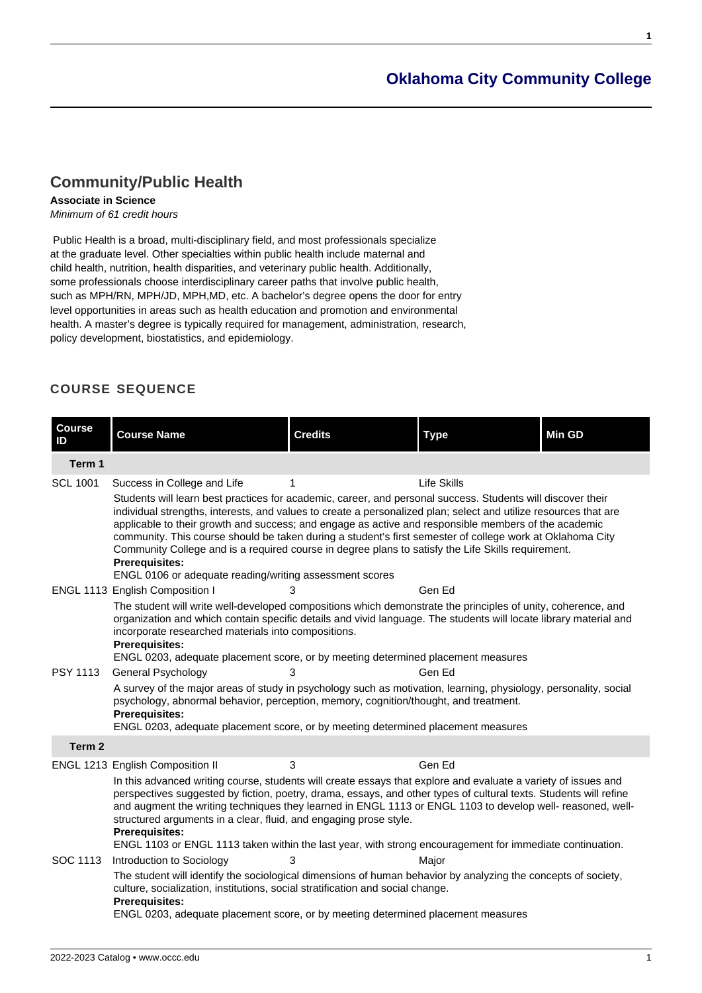# **[Oklahoma City Community College](https://www.occc.edu/catalog/)**

**1**

## **[Community/Public Health](https://www.occc.edu/catalog/degree-programs/social-sciences/community-public-health/)**

## **Associate in Science**

Minimum of 61 credit hours

 Public Health is a broad, multi-disciplinary field, and most professionals specialize at the graduate level. Other specialties within public health include maternal and child health, nutrition, health disparities, and veterinary public health. Additionally, some professionals choose interdisciplinary career paths that involve public health, such as MPH/RN, MPH/JD, MPH,MD, etc. A bachelor's degree opens the door for entry level opportunities in areas such as health education and promotion and environmental health. A master's degree is typically required for management, administration, research, policy development, biostatistics, and epidemiology.

## **COURSE SEQUENCE**

| <b>Course</b><br>ID | <b>Course Name</b>                                                                                                                                                                                                                                                                                                                                                                                                                                                                                                                                                                                                                             | <b>Credits</b> | <b>Type</b> | <b>Min GD</b> |  |  |
|---------------------|------------------------------------------------------------------------------------------------------------------------------------------------------------------------------------------------------------------------------------------------------------------------------------------------------------------------------------------------------------------------------------------------------------------------------------------------------------------------------------------------------------------------------------------------------------------------------------------------------------------------------------------------|----------------|-------------|---------------|--|--|
| Term 1              |                                                                                                                                                                                                                                                                                                                                                                                                                                                                                                                                                                                                                                                |                |             |               |  |  |
| <b>SCL 1001</b>     | Success in College and Life                                                                                                                                                                                                                                                                                                                                                                                                                                                                                                                                                                                                                    | 1              | Life Skills |               |  |  |
|                     | Students will learn best practices for academic, career, and personal success. Students will discover their<br>individual strengths, interests, and values to create a personalized plan; select and utilize resources that are<br>applicable to their growth and success; and engage as active and responsible members of the academic<br>community. This course should be taken during a student's first semester of college work at Oklahoma City<br>Community College and is a required course in degree plans to satisfy the Life Skills requirement.<br><b>Prerequisites:</b><br>ENGL 0106 or adequate reading/writing assessment scores |                |             |               |  |  |
|                     | ENGL 1113 English Composition I                                                                                                                                                                                                                                                                                                                                                                                                                                                                                                                                                                                                                | 3              | Gen Ed      |               |  |  |
|                     | The student will write well-developed compositions which demonstrate the principles of unity, coherence, and<br>organization and which contain specific details and vivid language. The students will locate library material and<br>incorporate researched materials into compositions.<br><b>Prerequisites:</b><br>ENGL 0203, adequate placement score, or by meeting determined placement measures                                                                                                                                                                                                                                          |                |             |               |  |  |
| <b>PSY 1113</b>     | General Psychology                                                                                                                                                                                                                                                                                                                                                                                                                                                                                                                                                                                                                             | 3              | Gen Ed      |               |  |  |
|                     | A survey of the major areas of study in psychology such as motivation, learning, physiology, personality, social<br>psychology, abnormal behavior, perception, memory, cognition/thought, and treatment.<br><b>Prerequisites:</b><br>ENGL 0203, adequate placement score, or by meeting determined placement measures                                                                                                                                                                                                                                                                                                                          |                |             |               |  |  |
| Term 2              |                                                                                                                                                                                                                                                                                                                                                                                                                                                                                                                                                                                                                                                |                |             |               |  |  |
|                     | ENGL 1213 English Composition II                                                                                                                                                                                                                                                                                                                                                                                                                                                                                                                                                                                                               | 3              | Gen Ed      |               |  |  |
|                     | In this advanced writing course, students will create essays that explore and evaluate a variety of issues and<br>perspectives suggested by fiction, poetry, drama, essays, and other types of cultural texts. Students will refine<br>and augment the writing techniques they learned in ENGL 1113 or ENGL 1103 to develop well- reasoned, well-<br>structured arguments in a clear, fluid, and engaging prose style.<br>Prerequisites:<br>ENGL 1103 or ENGL 1113 taken within the last year, with strong encouragement for immediate continuation.                                                                                           |                |             |               |  |  |
| SOC 1113            | Introduction to Sociology                                                                                                                                                                                                                                                                                                                                                                                                                                                                                                                                                                                                                      | 3              | Major       |               |  |  |
|                     | The student will identify the sociological dimensions of human behavior by analyzing the concepts of society,<br>culture, socialization, institutions, social stratification and social change.<br><b>Prerequisites:</b><br>ENGL 0203, adequate placement score, or by meeting determined placement measures                                                                                                                                                                                                                                                                                                                                   |                |             |               |  |  |
|                     |                                                                                                                                                                                                                                                                                                                                                                                                                                                                                                                                                                                                                                                |                |             |               |  |  |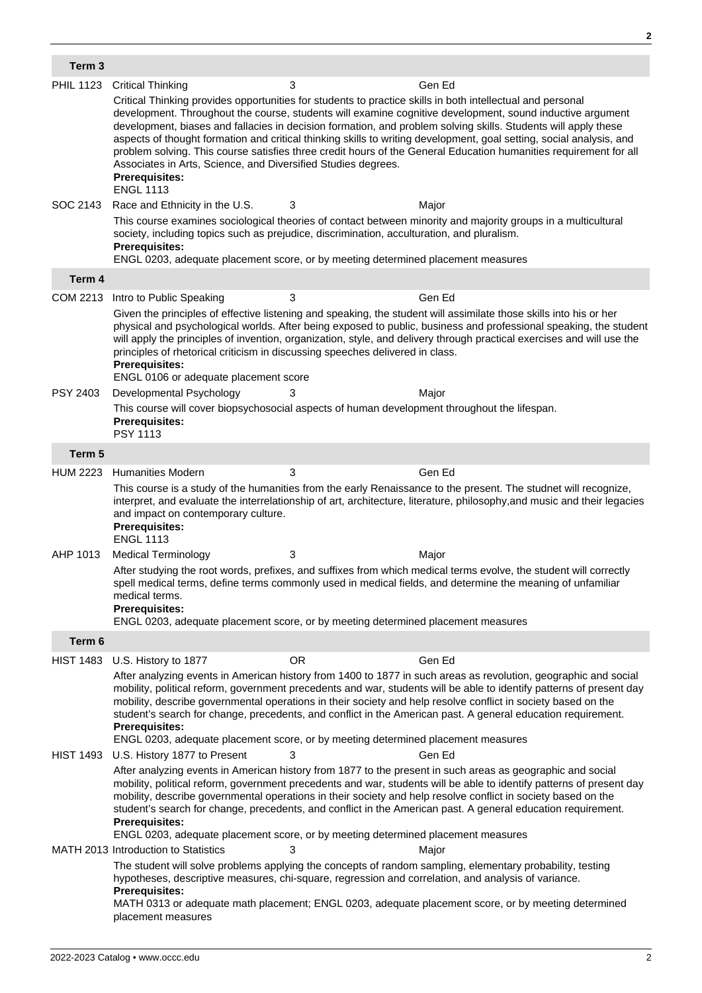| Term 3           |                                                                                                                                                                                                                                                                                                                                                                                                                                                                                                                                                                                                                                                                                                      |           |                                                                                                                                                                                                                                                                                                                                                                   |  |  |
|------------------|------------------------------------------------------------------------------------------------------------------------------------------------------------------------------------------------------------------------------------------------------------------------------------------------------------------------------------------------------------------------------------------------------------------------------------------------------------------------------------------------------------------------------------------------------------------------------------------------------------------------------------------------------------------------------------------------------|-----------|-------------------------------------------------------------------------------------------------------------------------------------------------------------------------------------------------------------------------------------------------------------------------------------------------------------------------------------------------------------------|--|--|
| <b>PHIL 1123</b> | <b>Critical Thinking</b>                                                                                                                                                                                                                                                                                                                                                                                                                                                                                                                                                                                                                                                                             | 3         | Gen Ed                                                                                                                                                                                                                                                                                                                                                            |  |  |
|                  | Critical Thinking provides opportunities for students to practice skills in both intellectual and personal<br>development. Throughout the course, students will examine cognitive development, sound inductive argument<br>development, biases and fallacies in decision formation, and problem solving skills. Students will apply these<br>aspects of thought formation and critical thinking skills to writing development, goal setting, social analysis, and<br>problem solving. This course satisfies three credit hours of the General Education humanities requirement for all<br>Associates in Arts, Science, and Diversified Studies degrees.<br><b>Prerequisites:</b><br><b>ENGL 1113</b> |           |                                                                                                                                                                                                                                                                                                                                                                   |  |  |
| SOC 2143         | Race and Ethnicity in the U.S.                                                                                                                                                                                                                                                                                                                                                                                                                                                                                                                                                                                                                                                                       | 3         | Major                                                                                                                                                                                                                                                                                                                                                             |  |  |
|                  | society, including topics such as prejudice, discrimination, acculturation, and pluralism.<br><b>Prerequisites:</b><br>ENGL 0203, adequate placement score, or by meeting determined placement measures                                                                                                                                                                                                                                                                                                                                                                                                                                                                                              |           | This course examines sociological theories of contact between minority and majority groups in a multicultural                                                                                                                                                                                                                                                     |  |  |
| Term 4           |                                                                                                                                                                                                                                                                                                                                                                                                                                                                                                                                                                                                                                                                                                      |           |                                                                                                                                                                                                                                                                                                                                                                   |  |  |
|                  | COM 2213 Intro to Public Speaking                                                                                                                                                                                                                                                                                                                                                                                                                                                                                                                                                                                                                                                                    | 3         | Gen Ed                                                                                                                                                                                                                                                                                                                                                            |  |  |
|                  | principles of rhetorical criticism in discussing speeches delivered in class.<br><b>Prerequisites:</b><br>ENGL 0106 or adequate placement score                                                                                                                                                                                                                                                                                                                                                                                                                                                                                                                                                      |           | Given the principles of effective listening and speaking, the student will assimilate those skills into his or her<br>physical and psychological worlds. After being exposed to public, business and professional speaking, the student<br>will apply the principles of invention, organization, style, and delivery through practical exercises and will use the |  |  |
| <b>PSY 2403</b>  | Developmental Psychology                                                                                                                                                                                                                                                                                                                                                                                                                                                                                                                                                                                                                                                                             | 3         | Major                                                                                                                                                                                                                                                                                                                                                             |  |  |
|                  | This course will cover biopsychosocial aspects of human development throughout the lifespan.<br><b>Prerequisites:</b><br><b>PSY 1113</b>                                                                                                                                                                                                                                                                                                                                                                                                                                                                                                                                                             |           |                                                                                                                                                                                                                                                                                                                                                                   |  |  |
| Term 5           |                                                                                                                                                                                                                                                                                                                                                                                                                                                                                                                                                                                                                                                                                                      |           |                                                                                                                                                                                                                                                                                                                                                                   |  |  |
| <b>HUM 2223</b>  | <b>Humanities Modern</b>                                                                                                                                                                                                                                                                                                                                                                                                                                                                                                                                                                                                                                                                             | 3         | Gen Ed                                                                                                                                                                                                                                                                                                                                                            |  |  |
|                  | This course is a study of the humanities from the early Renaissance to the present. The studnet will recognize,<br>interpret, and evaluate the interrelationship of art, architecture, literature, philosophy, and music and their legacies<br>and impact on contemporary culture.<br><b>Prerequisites:</b><br><b>ENGL 1113</b>                                                                                                                                                                                                                                                                                                                                                                      |           |                                                                                                                                                                                                                                                                                                                                                                   |  |  |
| AHP 1013         | <b>Medical Terminology</b>                                                                                                                                                                                                                                                                                                                                                                                                                                                                                                                                                                                                                                                                           | 3         | Major                                                                                                                                                                                                                                                                                                                                                             |  |  |
|                  | After studying the root words, prefixes, and suffixes from which medical terms evolve, the student will correctly<br>spell medical terms, define terms commonly used in medical fields, and determine the meaning of unfamiliar<br>medical terms.<br><b>Prerequisites:</b><br>ENGL 0203, adequate placement score, or by meeting determined placement measures                                                                                                                                                                                                                                                                                                                                       |           |                                                                                                                                                                                                                                                                                                                                                                   |  |  |
| Term 6           |                                                                                                                                                                                                                                                                                                                                                                                                                                                                                                                                                                                                                                                                                                      |           |                                                                                                                                                                                                                                                                                                                                                                   |  |  |
| <b>HIST 1483</b> | U.S. History to 1877                                                                                                                                                                                                                                                                                                                                                                                                                                                                                                                                                                                                                                                                                 | <b>OR</b> | Gen Ed                                                                                                                                                                                                                                                                                                                                                            |  |  |
|                  | After analyzing events in American history from 1400 to 1877 in such areas as revolution, geographic and social<br>mobility, political reform, government precedents and war, students will be able to identify patterns of present day<br>mobility, describe governmental operations in their society and help resolve conflict in society based on the<br>student's search for change, precedents, and conflict in the American past. A general education requirement.<br><b>Prerequisites:</b><br>ENGL 0203, adequate placement score, or by meeting determined placement measures                                                                                                                |           |                                                                                                                                                                                                                                                                                                                                                                   |  |  |
| <b>HIST 1493</b> | U.S. History 1877 to Present                                                                                                                                                                                                                                                                                                                                                                                                                                                                                                                                                                                                                                                                         | 3         | Gen Ed                                                                                                                                                                                                                                                                                                                                                            |  |  |
|                  | After analyzing events in American history from 1877 to the present in such areas as geographic and social<br>mobility, political reform, government precedents and war, students will be able to identify patterns of present day<br>mobility, describe governmental operations in their society and help resolve conflict in society based on the<br>student's search for change, precedents, and conflict in the American past. A general education requirement.<br><b>Prerequisites:</b><br>ENGL 0203, adequate placement score, or by meeting determined placement measures                                                                                                                     |           |                                                                                                                                                                                                                                                                                                                                                                   |  |  |
|                  | MATH 2013 Introduction to Statistics                                                                                                                                                                                                                                                                                                                                                                                                                                                                                                                                                                                                                                                                 | 3         | Major                                                                                                                                                                                                                                                                                                                                                             |  |  |
|                  | hypotheses, descriptive measures, chi-square, regression and correlation, and analysis of variance.<br><b>Prerequisites:</b><br>placement measures                                                                                                                                                                                                                                                                                                                                                                                                                                                                                                                                                   |           | The student will solve problems applying the concepts of random sampling, elementary probability, testing<br>MATH 0313 or adequate math placement; ENGL 0203, adequate placement score, or by meeting determined                                                                                                                                                  |  |  |

**2**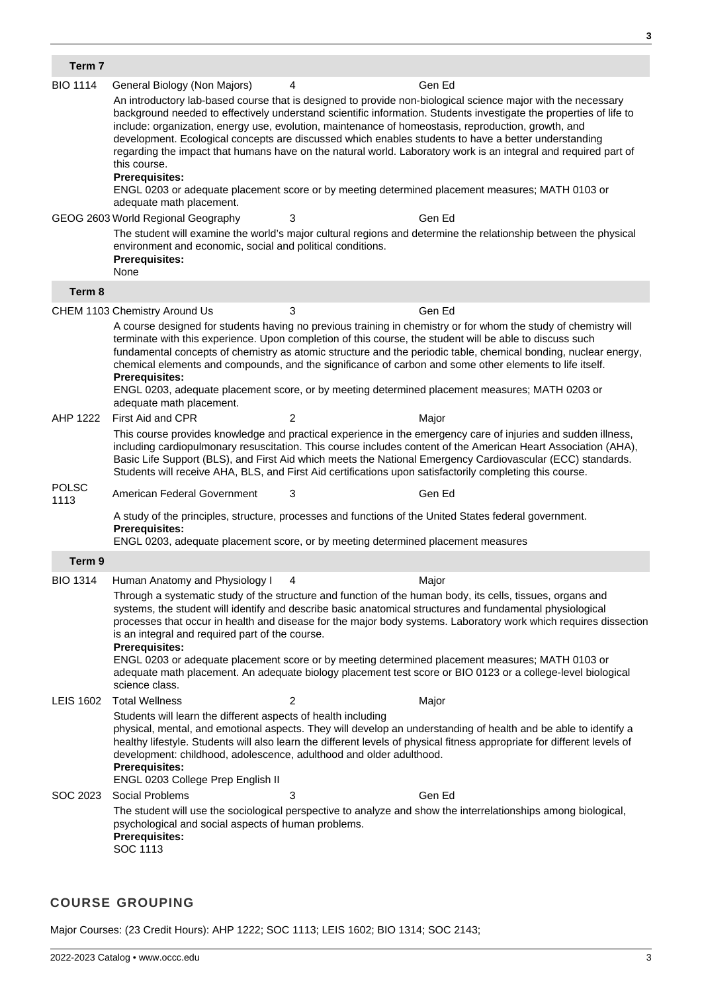| Term 7               |                                                                                                                                                                                                                                                                                                                                                                                                                                                                                                                                                                                                                                                                                                                                              |                                                                                                                                                                                                                                                                                                                                                                                     |                                                                                                                                                                                                                                                                                                                                                                                                                                                                                                                                                             |  |  |  |
|----------------------|----------------------------------------------------------------------------------------------------------------------------------------------------------------------------------------------------------------------------------------------------------------------------------------------------------------------------------------------------------------------------------------------------------------------------------------------------------------------------------------------------------------------------------------------------------------------------------------------------------------------------------------------------------------------------------------------------------------------------------------------|-------------------------------------------------------------------------------------------------------------------------------------------------------------------------------------------------------------------------------------------------------------------------------------------------------------------------------------------------------------------------------------|-------------------------------------------------------------------------------------------------------------------------------------------------------------------------------------------------------------------------------------------------------------------------------------------------------------------------------------------------------------------------------------------------------------------------------------------------------------------------------------------------------------------------------------------------------------|--|--|--|
| <b>BIO 1114</b>      | General Biology (Non Majors)                                                                                                                                                                                                                                                                                                                                                                                                                                                                                                                                                                                                                                                                                                                 | 4                                                                                                                                                                                                                                                                                                                                                                                   | Gen Ed                                                                                                                                                                                                                                                                                                                                                                                                                                                                                                                                                      |  |  |  |
|                      | An introductory lab-based course that is designed to provide non-biological science major with the necessary<br>background needed to effectively understand scientific information. Students investigate the properties of life to<br>include: organization, energy use, evolution, maintenance of homeostasis, reproduction, growth, and<br>development. Ecological concepts are discussed which enables students to have a better understanding<br>regarding the impact that humans have on the natural world. Laboratory work is an integral and required part of<br>this course.<br><b>Prerequisites:</b><br>ENGL 0203 or adequate placement score or by meeting determined placement measures; MATH 0103 or<br>adequate math placement. |                                                                                                                                                                                                                                                                                                                                                                                     |                                                                                                                                                                                                                                                                                                                                                                                                                                                                                                                                                             |  |  |  |
|                      | GEOG 2603 World Regional Geography                                                                                                                                                                                                                                                                                                                                                                                                                                                                                                                                                                                                                                                                                                           | 3                                                                                                                                                                                                                                                                                                                                                                                   | Gen Ed                                                                                                                                                                                                                                                                                                                                                                                                                                                                                                                                                      |  |  |  |
|                      | environment and economic, social and political conditions.<br><b>Prerequisites:</b><br>None                                                                                                                                                                                                                                                                                                                                                                                                                                                                                                                                                                                                                                                  |                                                                                                                                                                                                                                                                                                                                                                                     | The student will examine the world's major cultural regions and determine the relationship between the physical                                                                                                                                                                                                                                                                                                                                                                                                                                             |  |  |  |
| Term 8               |                                                                                                                                                                                                                                                                                                                                                                                                                                                                                                                                                                                                                                                                                                                                              |                                                                                                                                                                                                                                                                                                                                                                                     |                                                                                                                                                                                                                                                                                                                                                                                                                                                                                                                                                             |  |  |  |
|                      | CHEM 1103 Chemistry Around Us                                                                                                                                                                                                                                                                                                                                                                                                                                                                                                                                                                                                                                                                                                                | 3                                                                                                                                                                                                                                                                                                                                                                                   | Gen Ed                                                                                                                                                                                                                                                                                                                                                                                                                                                                                                                                                      |  |  |  |
|                      | <b>Prerequisites:</b><br>adequate math placement.                                                                                                                                                                                                                                                                                                                                                                                                                                                                                                                                                                                                                                                                                            |                                                                                                                                                                                                                                                                                                                                                                                     | A course designed for students having no previous training in chemistry or for whom the study of chemistry will<br>terminate with this experience. Upon completion of this course, the student will be able to discuss such<br>fundamental concepts of chemistry as atomic structure and the periodic table, chemical bonding, nuclear energy,<br>chemical elements and compounds, and the significance of carbon and some other elements to life itself.<br>ENGL 0203, adequate placement score, or by meeting determined placement measures; MATH 0203 or |  |  |  |
| AHP 1222             | First Aid and CPR                                                                                                                                                                                                                                                                                                                                                                                                                                                                                                                                                                                                                                                                                                                            | $\overline{c}$                                                                                                                                                                                                                                                                                                                                                                      | Major                                                                                                                                                                                                                                                                                                                                                                                                                                                                                                                                                       |  |  |  |
|                      | This course provides knowledge and practical experience in the emergency care of injuries and sudden illness,<br>including cardiopulmonary resuscitation. This course includes content of the American Heart Association (AHA),<br>Basic Life Support (BLS), and First Aid which meets the National Emergency Cardiovascular (ECC) standards.<br>Students will receive AHA, BLS, and First Aid certifications upon satisfactorily completing this course.                                                                                                                                                                                                                                                                                    |                                                                                                                                                                                                                                                                                                                                                                                     |                                                                                                                                                                                                                                                                                                                                                                                                                                                                                                                                                             |  |  |  |
| <b>POLSC</b><br>1113 | American Federal Government                                                                                                                                                                                                                                                                                                                                                                                                                                                                                                                                                                                                                                                                                                                  | 3                                                                                                                                                                                                                                                                                                                                                                                   | Gen Ed                                                                                                                                                                                                                                                                                                                                                                                                                                                                                                                                                      |  |  |  |
|                      | <b>Prerequisites:</b><br>ENGL 0203, adequate placement score, or by meeting determined placement measures                                                                                                                                                                                                                                                                                                                                                                                                                                                                                                                                                                                                                                    |                                                                                                                                                                                                                                                                                                                                                                                     | A study of the principles, structure, processes and functions of the United States federal government.                                                                                                                                                                                                                                                                                                                                                                                                                                                      |  |  |  |
| Term 9               |                                                                                                                                                                                                                                                                                                                                                                                                                                                                                                                                                                                                                                                                                                                                              |                                                                                                                                                                                                                                                                                                                                                                                     |                                                                                                                                                                                                                                                                                                                                                                                                                                                                                                                                                             |  |  |  |
| <b>BIO 1314</b>      | Human Anatomy and Physiology I                                                                                                                                                                                                                                                                                                                                                                                                                                                                                                                                                                                                                                                                                                               | 4                                                                                                                                                                                                                                                                                                                                                                                   | Major                                                                                                                                                                                                                                                                                                                                                                                                                                                                                                                                                       |  |  |  |
|                      | Through a systematic study of the structure and function of the human body, its cells, tissues, organs and<br>systems, the student will identify and describe basic anatomical structures and fundamental physiological<br>processes that occur in health and disease for the major body systems. Laboratory work which requires dissection<br>is an integral and required part of the course.<br><b>Prerequisites:</b><br>ENGL 0203 or adequate placement score or by meeting determined placement measures; MATH 0103 or<br>adequate math placement. An adequate biology placement test score or BIO 0123 or a college-level biological<br>science class.                                                                                  |                                                                                                                                                                                                                                                                                                                                                                                     |                                                                                                                                                                                                                                                                                                                                                                                                                                                                                                                                                             |  |  |  |
| <b>LEIS 1602</b>     | <b>Total Wellness</b>                                                                                                                                                                                                                                                                                                                                                                                                                                                                                                                                                                                                                                                                                                                        | 2                                                                                                                                                                                                                                                                                                                                                                                   | Major                                                                                                                                                                                                                                                                                                                                                                                                                                                                                                                                                       |  |  |  |
|                      | <b>Prerequisites:</b><br>ENGL 0203 College Prep English II                                                                                                                                                                                                                                                                                                                                                                                                                                                                                                                                                                                                                                                                                   | Students will learn the different aspects of health including<br>physical, mental, and emotional aspects. They will develop an understanding of health and be able to identify a<br>healthy lifestyle. Students will also learn the different levels of physical fitness appropriate for different levels of<br>development: childhood, adolescence, adulthood and older adulthood. |                                                                                                                                                                                                                                                                                                                                                                                                                                                                                                                                                             |  |  |  |
| SOC 2023             | Social Problems                                                                                                                                                                                                                                                                                                                                                                                                                                                                                                                                                                                                                                                                                                                              | 3                                                                                                                                                                                                                                                                                                                                                                                   | Gen Ed                                                                                                                                                                                                                                                                                                                                                                                                                                                                                                                                                      |  |  |  |
|                      | psychological and social aspects of human problems.<br><b>Prerequisites:</b><br>SOC 1113                                                                                                                                                                                                                                                                                                                                                                                                                                                                                                                                                                                                                                                     |                                                                                                                                                                                                                                                                                                                                                                                     | The student will use the sociological perspective to analyze and show the interrelationships among biological,                                                                                                                                                                                                                                                                                                                                                                                                                                              |  |  |  |

## **COURSE GROUPING**

Major Courses: (23 Credit Hours): AHP 1222; SOC 1113; LEIS 1602; BIO 1314; SOC 2143;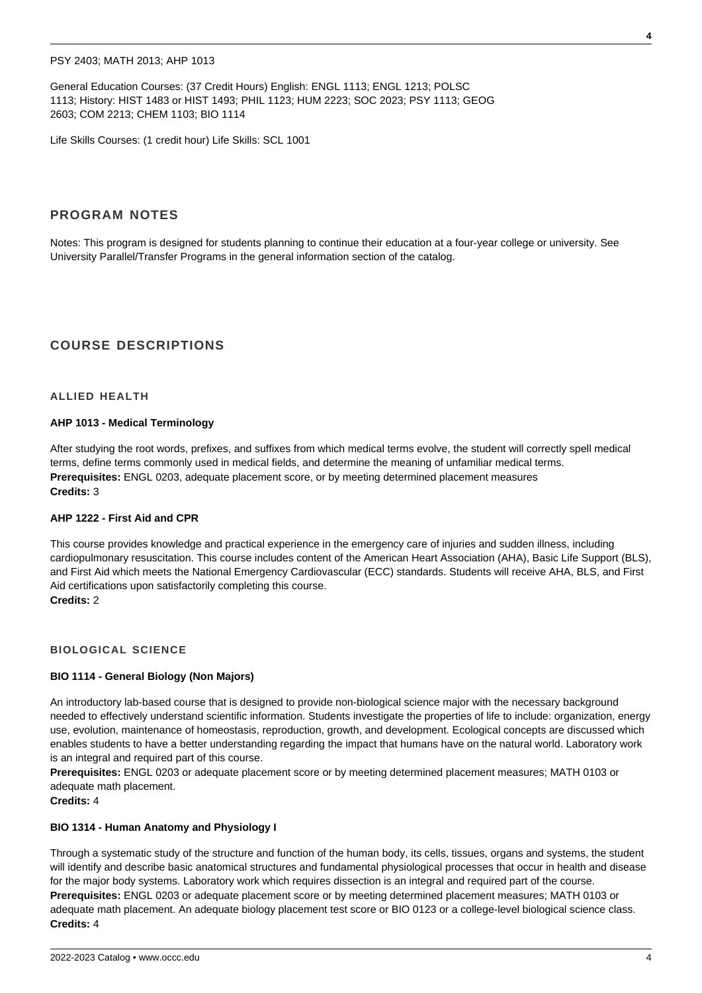## PSY 2403; MATH 2013; AHP 1013

General Education Courses: (37 Credit Hours) English: ENGL 1113; ENGL 1213; POLSC 1113; History: HIST 1483 or HIST 1493; PHIL 1123; HUM 2223; SOC 2023; PSY 1113; GEOG 2603; COM 2213; CHEM 1103; BIO 1114

Life Skills Courses: (1 credit hour) Life Skills: SCL 1001

## **PROGRAM NOTES**

Notes: This program is designed for students planning to continue their education at a four-year college or university. See University Parallel/Transfer Programs in the general information section of the catalog.

## **COURSE DESCRIPTIONS**

## **ALLIED HEALTH**

#### **AHP 1013 - Medical Terminology**

After studying the root words, prefixes, and suffixes from which medical terms evolve, the student will correctly spell medical terms, define terms commonly used in medical fields, and determine the meaning of unfamiliar medical terms. **Prerequisites:** ENGL 0203, adequate placement score, or by meeting determined placement measures **Credits:** 3

## **AHP 1222 - First Aid and CPR**

This course provides knowledge and practical experience in the emergency care of injuries and sudden illness, including cardiopulmonary resuscitation. This course includes content of the American Heart Association (AHA), Basic Life Support (BLS), and First Aid which meets the National Emergency Cardiovascular (ECC) standards. Students will receive AHA, BLS, and First Aid certifications upon satisfactorily completing this course. **Credits:** 2

#### **BIOLOGICAL SCIENCE**

### **BIO 1114 - General Biology (Non Majors)**

An introductory lab-based course that is designed to provide non-biological science major with the necessary background needed to effectively understand scientific information. Students investigate the properties of life to include: organization, energy use, evolution, maintenance of homeostasis, reproduction, growth, and development. Ecological concepts are discussed which enables students to have a better understanding regarding the impact that humans have on the natural world. Laboratory work is an integral and required part of this course.

**Prerequisites:** ENGL 0203 or adequate placement score or by meeting determined placement measures; MATH 0103 or adequate math placement.

**Credits:** 4

#### **BIO 1314 - Human Anatomy and Physiology I**

Through a systematic study of the structure and function of the human body, its cells, tissues, organs and systems, the student will identify and describe basic anatomical structures and fundamental physiological processes that occur in health and disease for the major body systems. Laboratory work which requires dissection is an integral and required part of the course. **Prerequisites:** ENGL 0203 or adequate placement score or by meeting determined placement measures; MATH 0103 or adequate math placement. An adequate biology placement test score or BIO 0123 or a college-level biological science class. **Credits:** 4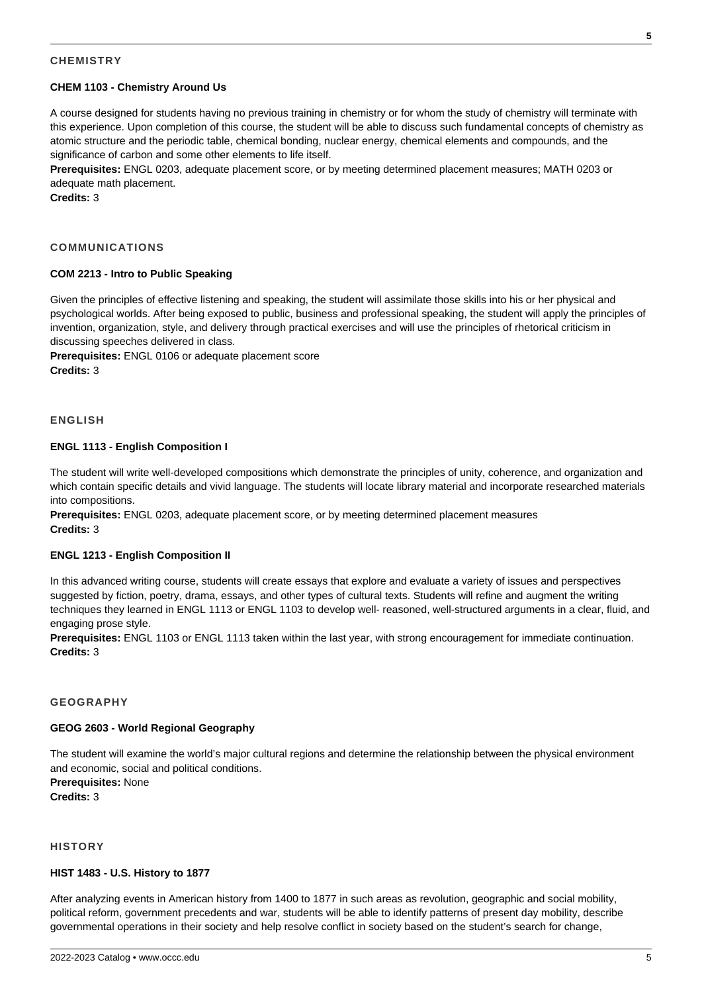## **CHEMISTRY**

## **CHEM 1103 - Chemistry Around Us**

A course designed for students having no previous training in chemistry or for whom the study of chemistry will terminate with this experience. Upon completion of this course, the student will be able to discuss such fundamental concepts of chemistry as atomic structure and the periodic table, chemical bonding, nuclear energy, chemical elements and compounds, and the significance of carbon and some other elements to life itself.

**Prerequisites:** ENGL 0203, adequate placement score, or by meeting determined placement measures; MATH 0203 or adequate math placement.

**Credits:** 3

### **COMMUNICATIONS**

## **COM 2213 - Intro to Public Speaking**

Given the principles of effective listening and speaking, the student will assimilate those skills into his or her physical and psychological worlds. After being exposed to public, business and professional speaking, the student will apply the principles of invention, organization, style, and delivery through practical exercises and will use the principles of rhetorical criticism in discussing speeches delivered in class.

**Prerequisites:** ENGL 0106 or adequate placement score **Credits:** 3

## **ENGLISH**

#### **ENGL 1113 - English Composition I**

The student will write well-developed compositions which demonstrate the principles of unity, coherence, and organization and which contain specific details and vivid language. The students will locate library material and incorporate researched materials into compositions.

**Prerequisites:** ENGL 0203, adequate placement score, or by meeting determined placement measures **Credits:** 3

#### **ENGL 1213 - English Composition II**

In this advanced writing course, students will create essays that explore and evaluate a variety of issues and perspectives suggested by fiction, poetry, drama, essays, and other types of cultural texts. Students will refine and augment the writing techniques they learned in ENGL 1113 or ENGL 1103 to develop well- reasoned, well-structured arguments in a clear, fluid, and engaging prose style.

**Prerequisites:** ENGL 1103 or ENGL 1113 taken within the last year, with strong encouragement for immediate continuation. **Credits:** 3

## **GEOGRAPHY**

#### **GEOG 2603 - World Regional Geography**

The student will examine the world's major cultural regions and determine the relationship between the physical environment and economic, social and political conditions. **Prerequisites:** None

**Credits:** 3

## **HISTORY**

#### **HIST 1483 - U.S. History to 1877**

After analyzing events in American history from 1400 to 1877 in such areas as revolution, geographic and social mobility, political reform, government precedents and war, students will be able to identify patterns of present day mobility, describe governmental operations in their society and help resolve conflict in society based on the student's search for change,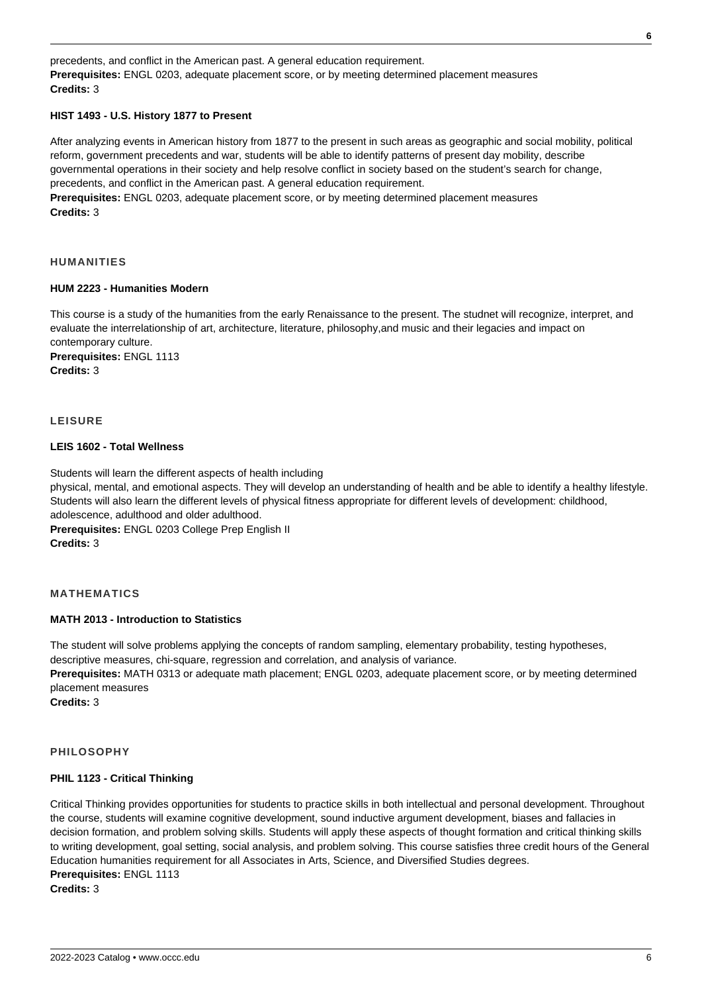precedents, and conflict in the American past. A general education requirement. **Prerequisites:** ENGL 0203, adequate placement score, or by meeting determined placement measures **Credits:** 3

## **HIST 1493 - U.S. History 1877 to Present**

After analyzing events in American history from 1877 to the present in such areas as geographic and social mobility, political reform, government precedents and war, students will be able to identify patterns of present day mobility, describe governmental operations in their society and help resolve conflict in society based on the student's search for change, precedents, and conflict in the American past. A general education requirement. **Prerequisites:** ENGL 0203, adequate placement score, or by meeting determined placement measures **Credits:** 3

#### **HUMANITIES**

#### **HUM 2223 - Humanities Modern**

This course is a study of the humanities from the early Renaissance to the present. The studnet will recognize, interpret, and evaluate the interrelationship of art, architecture, literature, philosophy,and music and their legacies and impact on contemporary culture.

**Prerequisites:** ENGL 1113 **Credits:** 3

## **LEISURE**

## **LEIS 1602 - Total Wellness**

Students will learn the different aspects of health including physical, mental, and emotional aspects. They will develop an understanding of health and be able to identify a healthy lifestyle. Students will also learn the different levels of physical fitness appropriate for different levels of development: childhood, adolescence, adulthood and older adulthood. **Prerequisites:** ENGL 0203 College Prep English II

**Credits:** 3

## **MATHEMATICS**

#### **MATH 2013 - Introduction to Statistics**

The student will solve problems applying the concepts of random sampling, elementary probability, testing hypotheses, descriptive measures, chi-square, regression and correlation, and analysis of variance. **Prerequisites:** MATH 0313 or adequate math placement; ENGL 0203, adequate placement score, or by meeting determined placement measures **Credits:** 3

#### **PHILOSOPHY**

#### **PHIL 1123 - Critical Thinking**

Critical Thinking provides opportunities for students to practice skills in both intellectual and personal development. Throughout the course, students will examine cognitive development, sound inductive argument development, biases and fallacies in decision formation, and problem solving skills. Students will apply these aspects of thought formation and critical thinking skills to writing development, goal setting, social analysis, and problem solving. This course satisfies three credit hours of the General Education humanities requirement for all Associates in Arts, Science, and Diversified Studies degrees. **Prerequisites:** ENGL 1113 **Credits:** 3